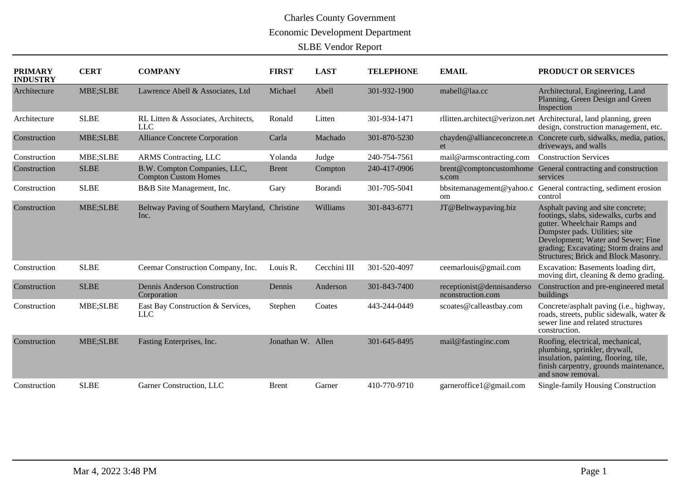# Charles County Government Economic Development Department

SLBE Vendor Report

| <b>PRIMARY</b><br><b>INDUSTRY</b> | <b>CERT</b> | <b>COMPANY</b>                                         | <b>FIRST</b>      | <b>LAST</b>  | <b>TELEPHONE</b> | <b>EMAIL</b>                                    | PRODUCT OR SERVICES                                                                                                                                                                                                                                                 |
|-----------------------------------|-------------|--------------------------------------------------------|-------------------|--------------|------------------|-------------------------------------------------|---------------------------------------------------------------------------------------------------------------------------------------------------------------------------------------------------------------------------------------------------------------------|
| Architecture                      | MBE;SLBE    | Lawrence Abell & Associates, Ltd                       | Michael           | Abell        | 301-932-1900     | mabell@laa.cc                                   | Architectural, Engineering, Land<br>Planning, Green Design and Green<br>Inspection                                                                                                                                                                                  |
| Architecture                      | <b>SLBE</b> | RL Litten & Associates, Architects,<br><b>LLC</b>      | Ronald            | Litten       | 301-934-1471     |                                                 | rllitten.architect@verizon.net Architectural, land planning, green<br>design, construction management, etc.                                                                                                                                                         |
| Construction                      | MBE;SLBE    | Alliance Concrete Corporation                          | Carla             | Machado      | 301-870-5230     | chayden@allianceconcrete.n<br>et                | Concrete curb, sidwalks, media, patios,<br>driveways, and walls                                                                                                                                                                                                     |
| Construction                      | MBE;SLBE    | <b>ARMS</b> Contracting, LLC                           | Yolanda           | Judge        | 240-754-7561     | mail@armscontracting.com                        | <b>Construction Services</b>                                                                                                                                                                                                                                        |
| Construction                      | <b>SLBE</b> | B.W. Compton Companies, LLC,<br>Compton Custom Homes   | <b>Brent</b>      | Compton      | 240-417-0906     | s.com                                           | brent@comptoncustomhome General contracting and construction<br>services                                                                                                                                                                                            |
| Construction                      | <b>SLBE</b> | B&B Site Management, Inc.                              | Gary              | Borandi      | 301-705-5041     | bbsitemanagement@yahoo.c<br><sub>om</sub>       | General contracting, sediment erosion<br>control                                                                                                                                                                                                                    |
| Construction                      | MBE;SLBE    | Beltway Paving of Southern Maryland, Christine<br>Inc. |                   | Williams     | 301-843-6771     | JT@Beltwaypaving.biz                            | Asphalt paving and site concrete;<br>footings, slabs, sidewalks, curbs and<br>gutter. Wheelchair Ramps and<br>Dumpster pads. Utilities; site<br>Development; Water and Sewer; Fine<br>grading; Excavating; Storm drains and<br>Structures; Brick and Block Masonry. |
| Construction                      | <b>SLBE</b> | Ceemar Construction Company, Inc.                      | Louis R.          | Cecchini III | 301-520-4097     | ceemarlouis@gmail.com                           | Excavation: Basements loading dirt,<br>moving dirt, cleaning & demo grading.                                                                                                                                                                                        |
| Construction                      | <b>SLBE</b> | Dennis Anderson Construction<br>Corporation            | Dennis            | Anderson     | 301-843-7400     | receptionist@dennisanderso<br>nconstruction.com | Construction and pre-engineered metal<br>buildings                                                                                                                                                                                                                  |
| Construction                      | MBE;SLBE    | East Bay Construction & Services,<br><b>LLC</b>        | Stephen           | Coates       | 443-244-0449     | scoates@calleastbay.com                         | Concrete/asphalt paving (i.e., highway,<br>roads, streets, public sidewalk, water &<br>sewer line and related structures<br>construction.                                                                                                                           |
| Construction                      | MBE;SLBE    | Fasting Enterprises, Inc.                              | Jonathan W. Allen |              | 301-645-8495     | mail@fastinginc.com                             | Roofing, electrical, mechanical,<br>plumbing, sprinkler, drywall,<br>insulation, painting, flooring, tile,<br>finish carpentry, grounds maintenance,<br>and snow removal.                                                                                           |
| Construction                      | <b>SLBE</b> | Garner Construction, LLC                               | <b>Brent</b>      | Garner       | 410-770-9710     | garneroffice1@gmail.com                         | Single-family Housing Construction                                                                                                                                                                                                                                  |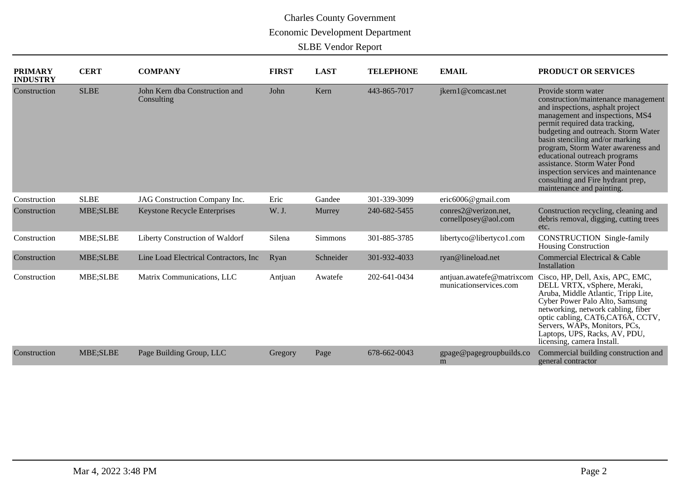| <b>PRIMARY</b><br><b>INDUSTRY</b> | <b>CERT</b> | <b>COMPANY</b>                               | <b>FIRST</b> | <b>LAST</b>    | <b>TELEPHONE</b> | <b>EMAIL</b>                                        | PRODUCT OR SERVICES                                                                                                                                                                                                                                                                                                                                                                                                                                           |
|-----------------------------------|-------------|----------------------------------------------|--------------|----------------|------------------|-----------------------------------------------------|---------------------------------------------------------------------------------------------------------------------------------------------------------------------------------------------------------------------------------------------------------------------------------------------------------------------------------------------------------------------------------------------------------------------------------------------------------------|
| Construction                      | <b>SLBE</b> | John Kern dba Construction and<br>Consulting | John         | Kern           | 443-865-7017     | jkern1@comcast.net                                  | Provide storm water<br>construction/maintenance management<br>and inspections, asphalt project<br>management and inspections, MS4<br>permit required data tracking,<br>budgeting and outreach. Storm Water<br>basin stenciling and/or marking<br>program, Storm Water awareness and<br>educational outreach programs<br>assistance. Storm Water Pond<br>inspection services and maintenance<br>consulting and Fire hydrant prep,<br>maintenance and painting. |
| Construction                      | <b>SLBE</b> | JAG Construction Company Inc.                | Eric         | Gandee         | 301-339-3099     | eric6006@gmail.com                                  |                                                                                                                                                                                                                                                                                                                                                                                                                                                               |
| Construction                      | MBE;SLBE    | <b>Keystone Recycle Enterprises</b>          | W. J.        | Murrey         | 240-682-5455     | conres2@verizon.net,<br>cornellposey@aol.com        | Construction recycling, cleaning and<br>debris removal, digging, cutting trees<br>etc.                                                                                                                                                                                                                                                                                                                                                                        |
| Construction                      | MBE;SLBE    | Liberty Construction of Waldorf              | Silena       | <b>Simmons</b> | 301-885-3785     | libertyco@libertyco1.com                            | <b>CONSTRUCTION</b> Single-family<br><b>Housing Construction</b>                                                                                                                                                                                                                                                                                                                                                                                              |
| Construction                      | MBE;SLBE    | Line Load Electrical Contractors, Inc.       | Ryan         | Schneider      | 301-932-4033     | ryan@lineload.net                                   | Commercial Electrical & Cable<br>Installation                                                                                                                                                                                                                                                                                                                                                                                                                 |
| Construction                      | MBE;SLBE    | Matrix Communications, LLC                   | Antiuan      | Awatefe        | 202-641-0434     | antjuan.awatefe@matrixcom<br>municationservices.com | Cisco, HP, Dell, Axis, APC, EMC,<br>DELL VRTX, vSphere, Meraki,<br>Aruba, Middle Atlantic, Tripp Lite,<br>Cyber Power Palo Alto, Samsung<br>networking, network cabling, fiber<br>optic cabling, CAT6, CAT6A, CCTV,<br>Servers, WAPs, Monitors, PCs,<br>Laptops, UPS, Racks, AV, PDU,<br>licensing, camera Install.                                                                                                                                           |
| Construction                      | MBE;SLBE    | Page Building Group, LLC                     | Gregory      | Page           | 678-662-0043     | gpage@pagegroupbuilds.co<br>m                       | Commercial building construction and<br>general contractor                                                                                                                                                                                                                                                                                                                                                                                                    |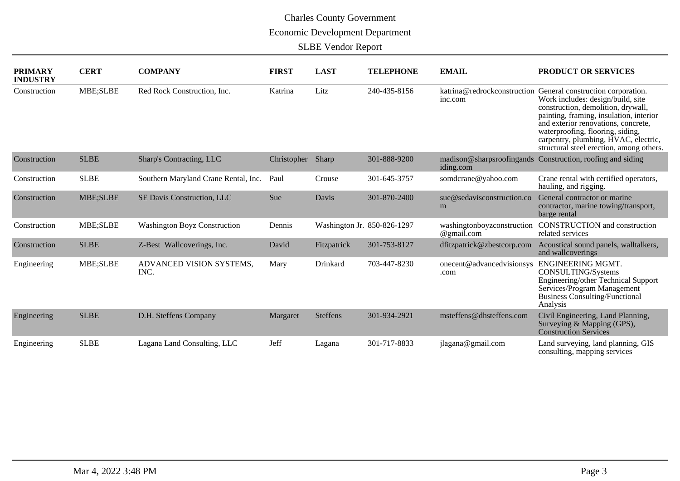| <b>PRIMARY</b><br><b>INDUSTRY</b> | <b>CERT</b> | <b>COMPANY</b>                       | <b>FIRST</b> | <b>LAST</b>     | <b>TELEPHONE</b>            | <b>EMAIL</b>                             | <b>PRODUCT OR SERVICES</b>                                                                                                                                                                                                                                                                                                                         |
|-----------------------------------|-------------|--------------------------------------|--------------|-----------------|-----------------------------|------------------------------------------|----------------------------------------------------------------------------------------------------------------------------------------------------------------------------------------------------------------------------------------------------------------------------------------------------------------------------------------------------|
| Construction                      | MBE;SLBE    | Red Rock Construction, Inc.          | Katrina      | Litz            | 240-435-8156                | inc.com                                  | katrina@redrockconstruction General construction corporation.<br>Work includes: design/build, site<br>construction, demolition, drywall,<br>painting, framing, insulation, interior<br>and exterior renovations, concrete,<br>waterproofing, flooring, siding,<br>carpentry, plumbing, HVAC, electric,<br>structural steel erection, among others. |
| Construction                      | <b>SLBE</b> | Sharp's Contracting, LLC             | Christopher  | Sharp           | 301-888-9200                | madison@sharpsroofingands<br>iding.com   | Construction, roofing and siding                                                                                                                                                                                                                                                                                                                   |
| Construction                      | <b>SLBE</b> | Southern Maryland Crane Rental, Inc. | Paul         | Crouse          | 301-645-3757                | somdcrane@yahoo.com                      | Crane rental with certified operators,<br>hauling, and rigging.                                                                                                                                                                                                                                                                                    |
| Construction                      | MBE;SLBE    | SE Davis Construction, LLC           | Sue          | Davis           | 301-870-2400                | sue@sedavisconstruction.co<br>m          | General contractor or marine<br>contractor, marine towing/transport,<br>barge rental                                                                                                                                                                                                                                                               |
| Construction                      | MBE;SLBE    | <b>Washington Boyz Construction</b>  | Dennis       |                 | Washington Jr. 850-826-1297 | washingtonboyzconstruction<br>@gmail.com | <b>CONSTRUCTION</b> and construction<br>related services                                                                                                                                                                                                                                                                                           |
| Construction                      | <b>SLBE</b> | Z-Best Wallcoverings, Inc.           | David        | Fitzpatrick     | 301-753-8127                | dfitzpatrick@zbestcorp.com               | Acoustical sound panels, walltalkers,<br>and wallcoverings                                                                                                                                                                                                                                                                                         |
| Engineering                       | MBE;SLBE    | ADVANCED VISION SYSTEMS,<br>INC.     | Mary         | Drinkard        | 703-447-8230                | onecent@advancedvisionsys<br>.com        | ENGINEERING MGMT.<br>CONSULTING/Systems<br>Engineering/other Technical Support<br>Services/Program Management<br><b>Business Consulting/Functional</b><br>Analysis                                                                                                                                                                                 |
| Engineering                       | <b>SLBE</b> | D.H. Steffens Company                | Margaret     | <b>Steffens</b> | 301-934-2921                | msteffens@dhsteffens.com                 | Civil Engineering, Land Planning,<br>Surveying & Mapping (GPS),<br><b>Construction Services</b>                                                                                                                                                                                                                                                    |
| Engineering                       | <b>SLBE</b> | Lagana Land Consulting, LLC          | Jeff         | Lagana          | 301-717-8833                | jlagana@gmail.com                        | Land surveying, land planning, GIS<br>consulting, mapping services                                                                                                                                                                                                                                                                                 |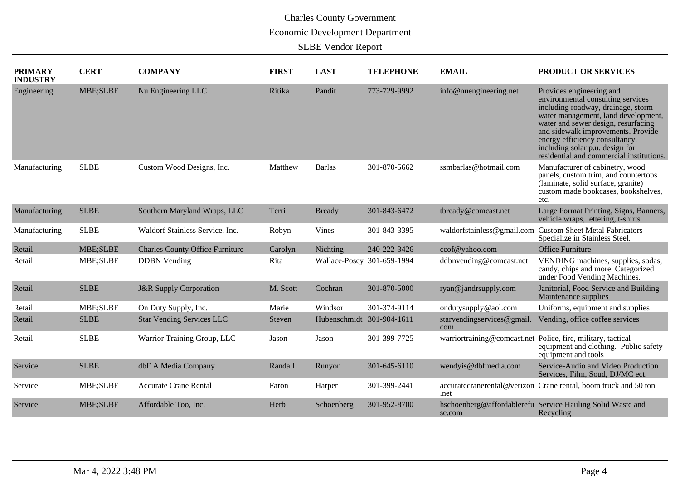| <b>PRIMARY</b><br><b>INDUSTRY</b> | <b>CERT</b> | <b>COMPANY</b>                         | <b>FIRST</b> | <b>LAST</b>                | <b>TELEPHONE</b> | <b>EMAIL</b>                                                 | PRODUCT OR SERVICES                                                                                                                                                                                                                                                                                                                      |
|-----------------------------------|-------------|----------------------------------------|--------------|----------------------------|------------------|--------------------------------------------------------------|------------------------------------------------------------------------------------------------------------------------------------------------------------------------------------------------------------------------------------------------------------------------------------------------------------------------------------------|
| Engineering                       | MBE;SLBE    | Nu Engineering LLC                     | Ritika       | Pandit                     | 773-729-9992     | info@nuengineering.net                                       | Provides engineering and<br>environmental consulting services<br>including roadway, drainage, storm<br>water management, land development,<br>water and sewer design, resurfacing<br>and sidewalk improvements. Provide<br>energy efficiency consultancy,<br>including solar p.u. design for<br>residential and commercial institutions. |
| Manufacturing                     | <b>SLBE</b> | Custom Wood Designs, Inc.              | Matthew      | <b>Barlas</b>              | 301-870-5662     | ssmbarlas@hotmail.com                                        | Manufacturer of cabinetry, wood<br>panels, custom trim, and countertops<br>(laminate, solid surface, granite)<br>custom made bookcases, bookshelves,<br>etc.                                                                                                                                                                             |
| Manufacturing                     | <b>SLBE</b> | Southern Maryland Wraps, LLC           | Terri        | <b>Bready</b>              | 301-843-6472     | tbready@comcast.net                                          | Large Format Printing, Signs, Banners,<br>vehicle wraps, lettering, t-shirts                                                                                                                                                                                                                                                             |
| Manufacturing                     | <b>SLBE</b> | Waldorf Stainless Service. Inc.        | Robyn        | Vines                      | 301-843-3395     | waldorfstainless@gmail.com                                   | <b>Custom Sheet Metal Fabricators -</b><br>Specialize in Stainless Steel.                                                                                                                                                                                                                                                                |
| Retail                            | MBE;SLBE    | <b>Charles County Office Furniture</b> | Carolyn      | Nichting                   | 240-222-3426     | ccof@yahoo.com                                               | <b>Office Furniture</b>                                                                                                                                                                                                                                                                                                                  |
| Retail                            | MBE;SLBE    | <b>DDBN</b> Vending                    | Rita         | Wallace-Posey 301-659-1994 |                  | ddbnvending@comcast.net                                      | VENDING machines, supplies, sodas,<br>candy, chips and more. Categorized<br>under Food Vending Machines.                                                                                                                                                                                                                                 |
| Retail                            | <b>SLBE</b> | <b>J&amp;R</b> Supply Corporation      | M. Scott     | Cochran                    | 301-870-5000     | ryan@jandrsupply.com                                         | Janitorial, Food Service and Building<br>Maintenance supplies                                                                                                                                                                                                                                                                            |
| Retail                            | MBE;SLBE    | On Duty Supply, Inc.                   | Marie        | Windsor                    | 301-374-9114     | ondutysupply@aol.com                                         | Uniforms, equipment and supplies                                                                                                                                                                                                                                                                                                         |
| Retail                            | <b>SLBE</b> | <b>Star Vending Services LLC</b>       | Steven       | Hubenschmidt 301-904-1611  |                  | starvendingservices@gmail.<br>com                            | Vending, office coffee services                                                                                                                                                                                                                                                                                                          |
| Retail                            | <b>SLBE</b> | Warrior Training Group, LLC            | Jason        | Jason                      | 301-399-7725     | warriortraining@comcast.net Police, fire, military, tactical | equipment and clothing. Public safety<br>equipment and tools                                                                                                                                                                                                                                                                             |
| Service                           | <b>SLBE</b> | dbF A Media Company                    | Randall      | Runyon                     | 301-645-6110     | wendyis@dbfmedia.com                                         | Service-Audio and Video Production<br>Services, Film, Soud, DJ/MC ect.                                                                                                                                                                                                                                                                   |
| Service                           | MBE;SLBE    | <b>Accurate Crane Rental</b>           | Faron        | Harper                     | 301-399-2441     | .net                                                         | accuratecranerental@verizon Crane rental, boom truck and 50 ton                                                                                                                                                                                                                                                                          |
| Service                           | MBE;SLBE    | Affordable Too, Inc.                   | Herb         | Schoenberg                 | 301-952-8700     | se.com                                                       | hschoenberg@affordablerefu Service Hauling Solid Waste and<br>Recycling                                                                                                                                                                                                                                                                  |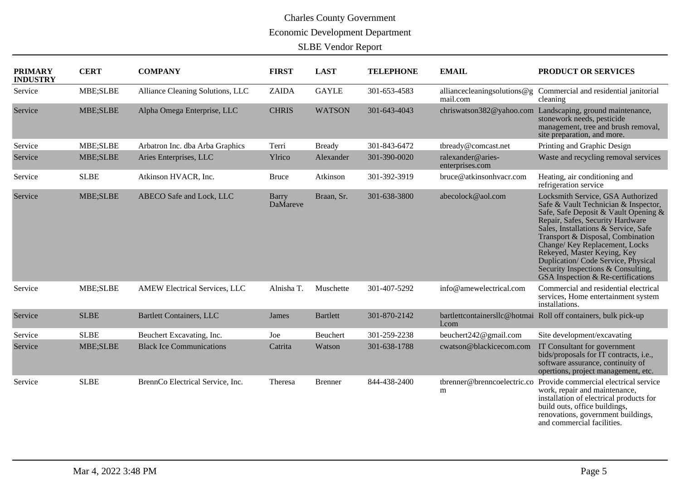| <b>PRIMARY</b><br><b>INDUSTRY</b> | <b>CERT</b> | <b>COMPANY</b>                   | <b>FIRST</b>      | <b>LAST</b>     | <b>TELEPHONE</b> | <b>EMAIL</b>                         | PRODUCT OR SERVICES                                                                                                                                                                                                                                                                                                                                                                                                  |
|-----------------------------------|-------------|----------------------------------|-------------------|-----------------|------------------|--------------------------------------|----------------------------------------------------------------------------------------------------------------------------------------------------------------------------------------------------------------------------------------------------------------------------------------------------------------------------------------------------------------------------------------------------------------------|
| Service                           | MBE;SLBE    | Alliance Cleaning Solutions, LLC | <b>ZAIDA</b>      | <b>GAYLE</b>    | 301-653-4583     | mail.com                             | alliancecleaningsolutions@g Commercial and residential janitorial<br>cleaning                                                                                                                                                                                                                                                                                                                                        |
| Service                           | MBE;SLBE    | Alpha Omega Enterprise, LLC      | <b>CHRIS</b>      | <b>WATSON</b>   | 301-643-4043     | chriswatson382@yahoo.com             | Landscaping, ground maintenance,<br>stonework needs, pesticide<br>management, tree and brush removal,<br>site preparation, and more.                                                                                                                                                                                                                                                                                 |
| Service                           | MBE;SLBE    | Arbatron Inc. dba Arba Graphics  | Terri             | <b>Bready</b>   | 301-843-6472     | tbready@comcast.net                  | Printing and Graphic Design                                                                                                                                                                                                                                                                                                                                                                                          |
| Service                           | MBE;SLBE    | Aries Enterprises, LLC           | Ylrico            | Alexander       | 301-390-0020     | ralexander@aries-<br>enterprises.com | Waste and recycling removal services                                                                                                                                                                                                                                                                                                                                                                                 |
| Service                           | <b>SLBE</b> | Atkinson HVACR, Inc.             | <b>Bruce</b>      | Atkinson        | 301-392-3919     | bruce@atkinsonhvacr.com              | Heating, air conditioning and<br>refrigeration service                                                                                                                                                                                                                                                                                                                                                               |
| Service                           | MBE;SLBE    | ABECO Safe and Lock, LLC         | Barry<br>DaMareve | Braan, Sr.      | 301-638-3800     | abecolock@aol.com                    | Locksmith Service, GSA Authorized<br>Safe & Vault Technician & Inspector,<br>Safe, Safe Deposit & Vault Opening &<br>Repair, Safes, Security Hardware<br>Sales, Installations & Service, Safe<br>Transport & Disposal, Combination<br>Change/Key Replacement, Locks<br>Rekeyed, Master Keying, Key<br>Duplication/Code Service, Physical<br>Security Inspections & Consulting,<br>GSA Inspection & Re-certifications |
| Service                           | MBE;SLBE    | AMEW Electrical Services, LLC    | Alnisha T.        | Muschette       | 301-407-5292     | info@amewelectrical.com              | Commercial and residential electrical<br>services, Home entertainment system<br>installations.                                                                                                                                                                                                                                                                                                                       |
| Service                           | <b>SLBE</b> | <b>Bartlett Containers, LLC</b>  | James             | <b>Bartlett</b> | 301-870-2142     | 1.com                                | bartlettcontainersllc@hotmai_Roll off containers, bulk pick-up                                                                                                                                                                                                                                                                                                                                                       |
| Service                           | <b>SLBE</b> | Beuchert Excavating, Inc.        | Joe               | Beuchert        | 301-259-2238     | beuchert242@gmail.com                | Site development/excavating                                                                                                                                                                                                                                                                                                                                                                                          |
| Service                           | MBE;SLBE    | <b>Black Ice Communications</b>  | Catrita           | Watson          | 301-638-1788     | cwatson@blackicecom.com              | IT Consultant for government<br>bids/proposals for IT contracts, i.e.,<br>software assurance, continuity of<br>opertions, project management, etc.                                                                                                                                                                                                                                                                   |
| Service                           | <b>SLBE</b> | BrennCo Electrical Service, Inc. | Theresa           | Brenner         | 844-438-2400     | tbrenner@brenncoelectric.co<br>m     | Provide commercial electrical service<br>work, repair and maintenance,<br>installation of electrical products for<br>build outs, office buildings,<br>renovations, government buildings,<br>and commercial facilities.                                                                                                                                                                                               |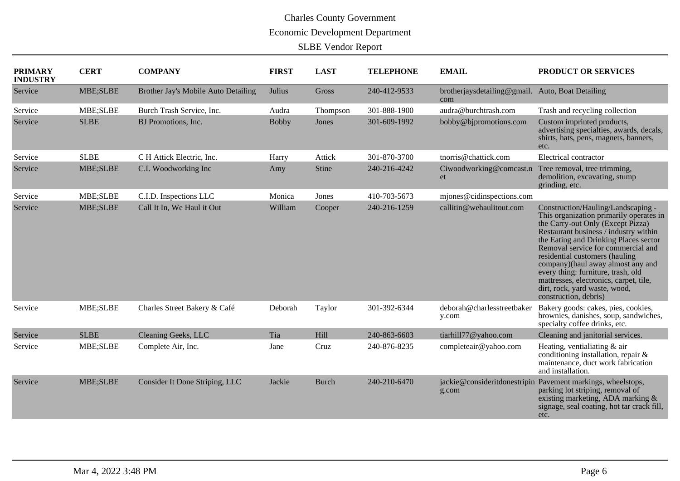| <b>PRIMARY</b><br><b>INDUSTRY</b> | <b>CERT</b> | <b>COMPANY</b>                      | <b>FIRST</b> | <b>LAST</b>  | <b>TELEPHONE</b> | <b>EMAIL</b>                                            | PRODUCT OR SERVICES                                                                                                                                                                                                                                                                                                                                                                                                                                         |
|-----------------------------------|-------------|-------------------------------------|--------------|--------------|------------------|---------------------------------------------------------|-------------------------------------------------------------------------------------------------------------------------------------------------------------------------------------------------------------------------------------------------------------------------------------------------------------------------------------------------------------------------------------------------------------------------------------------------------------|
| Service                           | MBE;SLBE    | Brother Jay's Mobile Auto Detailing | Julius       | Gross        | 240-412-9533     | brotherjaysdetailing@gmail. Auto, Boat Detailing<br>com |                                                                                                                                                                                                                                                                                                                                                                                                                                                             |
| Service                           | MBE;SLBE    | Burch Trash Service, Inc.           | Audra        | Thompson     | 301-888-1900     | audra@burchtrash.com                                    | Trash and recycling collection                                                                                                                                                                                                                                                                                                                                                                                                                              |
| Service                           | <b>SLBE</b> | BJ Promotions, Inc.                 | <b>Bobby</b> | Jones        | 301-609-1992     | bobby@bjpromotions.com                                  | Custom imprinted products,<br>advertising specialties, awards, decals,<br>shirts, hats, pens, magnets, banners,<br>etc.                                                                                                                                                                                                                                                                                                                                     |
| Service                           | <b>SLBE</b> | C H Attick Electric, Inc.           | Harry        | Attick       | 301-870-3700     | tnorris@chattick.com                                    | Electrical contractor                                                                                                                                                                                                                                                                                                                                                                                                                                       |
| Service                           | MBE;SLBE    | C.I. Woodworking Inc                | Amy          | Stine        | 240-216-4242     | Ciwoodworking@comcast.n<br>et                           | Tree removal, tree trimming,<br>demolition, excavating, stump<br>grinding, etc.                                                                                                                                                                                                                                                                                                                                                                             |
| Service                           | MBE;SLBE    | C.I.D. Inspections LLC              | Monica       | Jones        | 410-703-5673     | mjones@cidinspections.com                               |                                                                                                                                                                                                                                                                                                                                                                                                                                                             |
| Service                           | MBE;SLBE    | Call It In, We Haul it Out          | William      | Cooper       | 240-216-1259     | callitin@wehaulitout.com                                | Construction/Hauling/Landscaping -<br>This organization primarily operates in<br>the Carry-out Only (Except Pizza)<br>Restaurant business / industry within<br>the Eating and Drinking Places sector<br>Removal service for commercial and<br>residential customers (hauling<br>company)(haul away almost any and<br>every thing: furniture, trash, old<br>mattresses, electronics, carpet, tile,<br>dirt, rock, yard waste, wood,<br>construction, debris) |
| Service                           | MBE;SLBE    | Charles Street Bakery & Café        | Deborah      | Taylor       | 301-392-6344     | deborah@charlesstreetbaker<br>y.com                     | Bakery goods: cakes, pies, cookies,<br>brownies, danishes, soup, sandwiches,<br>specialty coffee drinks, etc.                                                                                                                                                                                                                                                                                                                                               |
| Service                           | <b>SLBE</b> | Cleaning Geeks, LLC                 | Tia          | Hill         | 240-863-6603     | tiarhill77@yahoo.com                                    | Cleaning and janitorial services.                                                                                                                                                                                                                                                                                                                                                                                                                           |
| Service                           | MBE;SLBE    | Complete Air, Inc.                  | Jane         | Cruz         | 240-876-8235     | completeair@yahoo.com                                   | Heating, ventialiating & air<br>conditioning installation, repair &<br>maintenance, duct work fabrication<br>and installation.                                                                                                                                                                                                                                                                                                                              |
| Service                           | MBE;SLBE    | Consider It Done Striping, LLC      | Jackie       | <b>Burch</b> | 240-210-6470     | g.com                                                   | jackie@consideritdonestripin_Pavement markings, wheelstops,<br>parking lot striping, removal of<br>existing marketing, ADA marking &<br>signage, seal coating, hot tar crack fill,<br>etc.                                                                                                                                                                                                                                                                  |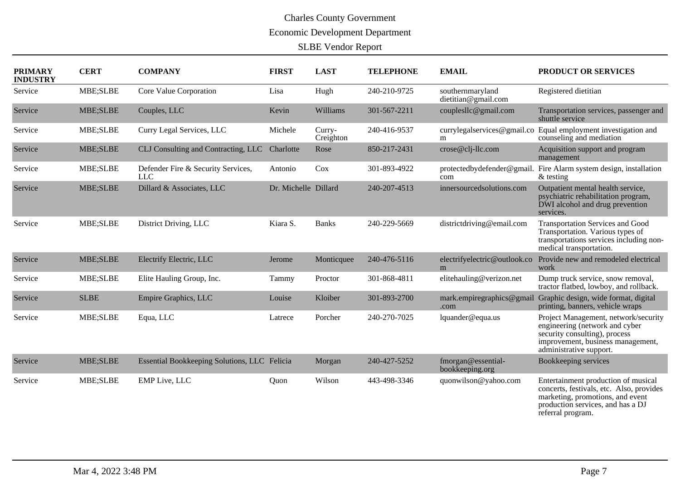| <b>PRIMARY</b><br><b>INDUSTRY</b> | <b>CERT</b> | <b>COMPANY</b>                                   | <b>FIRST</b>         | <b>LAST</b>         | <b>TELEPHONE</b> | <b>EMAIL</b>                            | PRODUCT OR SERVICES                                                                                                                                                           |
|-----------------------------------|-------------|--------------------------------------------------|----------------------|---------------------|------------------|-----------------------------------------|-------------------------------------------------------------------------------------------------------------------------------------------------------------------------------|
| Service                           | MBE;SLBE    | Core Value Corporation                           | Lisa                 | Hugh                | 240-210-9725     | southernmaryland<br>dietitian@gmail.com | Registered dietitian                                                                                                                                                          |
| Service                           | MBE;SLBE    | Couples, LLC                                     | Kevin                | Williams            | 301-567-2211     | couplesllc@gmail.com                    | Transportation services, passenger and<br>shuttle service                                                                                                                     |
| Service                           | MBE;SLBE    | Curry Legal Services, LLC                        | Michele              | Curry-<br>Creighton | 240-416-9537     | currylegalservices@gmail.co<br>m        | Equal employment investigation and<br>counseling and mediation                                                                                                                |
| Service                           | MBE;SLBE    | CLJ Consulting and Contracting, LLC              | Charlotte            | Rose                | 850-217-2431     | crose@clj-llc.com                       | Acquisition support and program<br>management                                                                                                                                 |
| Service                           | MBE;SLBE    | Defender Fire & Security Services,<br><b>LLC</b> | Antonio              | Cox                 | 301-893-4922     | protectedbydefender@gmail.<br>com       | Fire Alarm system design, installation<br>$&$ testing                                                                                                                         |
| Service                           | MBE;SLBE    | Dillard & Associates, LLC                        | Dr. Michelle Dillard |                     | 240-207-4513     | innersourcedsolutions.com               | Outpatient mental health service,<br>psychiatric rehabilitation program,<br>DWI alcohol and drug prevention<br>services.                                                      |
| Service                           | MBE;SLBE    | District Driving, LLC                            | Kiara S.             | <b>Banks</b>        | 240-229-5669     | districtdriving@email.com               | <b>Transportation Services and Good</b><br>Transportation. Various types of<br>transportations services including non-<br>medical transportation.                             |
| Service                           | MBE;SLBE    | Electrify Electric, LLC                          | Jerome               | Monticquee          | 240-476-5116     | electrifyelectric@outlook.co<br>m       | Provide new and remodeled electrical<br>work                                                                                                                                  |
| Service                           | MBE;SLBE    | Elite Hauling Group, Inc.                        | Tammy                | Proctor             | 301-868-4811     | elitehauling@verizon.net                | Dump truck service, snow removal,<br>tractor flatbed, lowboy, and rollback.                                                                                                   |
| Service                           | <b>SLBE</b> | Empire Graphics, LLC                             | Louise               | Kloiber             | 301-893-2700     | mark.empiregraphics@gmail<br>.com       | Graphic design, wide format, digital<br>printing, banners, vehicle wraps                                                                                                      |
| Service                           | MBE;SLBE    | Equa, LLC                                        | Latrece              | Porcher             | 240-270-7025     | lquander@equa.us                        | Project Management, network/security<br>engineering (network and cyber<br>security consulting), process<br>improvement, business management,<br>administrative support.       |
| Service                           | MBE;SLBE    | Essential Bookkeeping Solutions, LLC Felicia     |                      | Morgan              | 240-427-5252     | fmorgan@essential-<br>bookkeeping.org   | Bookkeeping services                                                                                                                                                          |
| Service                           | MBE;SLBE    | <b>EMP</b> Live, LLC                             | Quon                 | Wilson              | 443-498-3346     | quonwilson@yahoo.com                    | Entertainment production of musical<br>concerts, festivals, etc. Also, provides<br>marketing, promotions, and event<br>production services, and has a DJ<br>referral program. |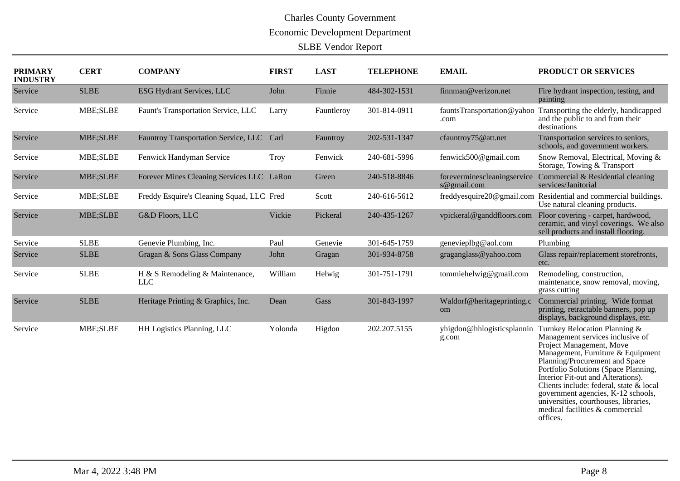| <b>PRIMARY</b><br><b>INDUSTRY</b> | <b>CERT</b> | <b>COMPANY</b>                                | <b>FIRST</b> | <b>LAST</b> | <b>TELEPHONE</b> | <b>EMAIL</b>                               | PRODUCT OR SERVICES                                                                                                                                                                                                                                                                                                                                                                                                         |
|-----------------------------------|-------------|-----------------------------------------------|--------------|-------------|------------------|--------------------------------------------|-----------------------------------------------------------------------------------------------------------------------------------------------------------------------------------------------------------------------------------------------------------------------------------------------------------------------------------------------------------------------------------------------------------------------------|
| Service                           | <b>SLBE</b> | <b>ESG Hydrant Services, LLC</b>              | John         | Finnie      | 484-302-1531     | finnman@verizon.net                        | Fire hydrant inspection, testing, and<br>painting                                                                                                                                                                                                                                                                                                                                                                           |
| Service                           | MBE;SLBE    | Faunt's Transportation Service, LLC           | Larry        | Fauntleroy  | 301-814-0911     | fauntsTransportation@yahoo<br>.com         | Transporting the elderly, handicapped<br>and the public to and from their<br>destinations                                                                                                                                                                                                                                                                                                                                   |
| Service                           | MBE;SLBE    | Fauntroy Transportation Service, LLC Carl     |              | Fauntroy    | 202-531-1347     | cfauntroy75@att.net                        | Transportation services to seniors,<br>schools, and government workers.                                                                                                                                                                                                                                                                                                                                                     |
| Service                           | MBE;SLBE    | Fenwick Handyman Service                      | <b>Troy</b>  | Fenwick     | 240-681-5996     | fenwick500@gmail.com                       | Snow Removal, Electrical, Moving &<br>Storage, Towing & Transport                                                                                                                                                                                                                                                                                                                                                           |
| Service                           | MBE;SLBE    | Forever Mines Cleaning Services LLC LaRon     |              | Green       | 240-518-8846     | foreverminescleaningservice<br>s@gmail.com | Commercial & Residential cleaning<br>services/Janitorial                                                                                                                                                                                                                                                                                                                                                                    |
| Service                           | MBE;SLBE    | Freddy Esquire's Cleaning Squad, LLC Fred     |              | Scott       | 240-616-5612     |                                            | freddyesquire20@gmail.com Residential and commercial buildings.<br>Use natural cleaning products.                                                                                                                                                                                                                                                                                                                           |
| Service                           | MBE;SLBE    | G&D Floors, LLC                               | Vickie       | Pickeral    | 240-435-1267     | vpickeral@ganddfloors.com                  | Floor covering - carpet, hardwood,<br>ceramic, and vinyl coverings. We also<br>sell products and install flooring.                                                                                                                                                                                                                                                                                                          |
| Service                           | <b>SLBE</b> | Genevie Plumbing, Inc.                        | Paul         | Genevie     | 301-645-1759     | genevieplbg@aol.com                        | Plumbing                                                                                                                                                                                                                                                                                                                                                                                                                    |
| Service                           | <b>SLBE</b> | Gragan & Sons Glass Company                   | John         | Gragan      | 301-934-8758     | graganglass@yahoo.com                      | Glass repair/replacement storefronts,<br>etc.                                                                                                                                                                                                                                                                                                                                                                               |
| Service                           | <b>SLBE</b> | H & S Remodeling & Maintenance,<br><b>LLC</b> | William      | Helwig      | 301-751-1791     | tommiehelwig@gmail.com                     | Remodeling, construction,<br>maintenance, snow removal, moving,<br>grass cutting                                                                                                                                                                                                                                                                                                                                            |
| Service                           | <b>SLBE</b> | Heritage Printing & Graphics, Inc.            | Dean         | Gass        | 301-843-1997     | Waldorf@heritageprinting.c<br>om           | Commercial printing. Wide format<br>printing, retractable banners, pop up<br>displays, background displays, etc.                                                                                                                                                                                                                                                                                                            |
| Service                           | MBE;SLBE    | HH Logistics Planning, LLC                    | Yolonda      | Higdon      | 202.207.5155     | yhigdon@hhlogisticsplannin<br>g.com        | Turnkey Relocation Planning &<br>Management services inclusive of<br>Project Management, Move<br>Management, Furniture & Equipment<br>Planning/Procurement and Space<br>Portfolio Solutions (Space Planning,<br>Interior Fit-out and Alterations).<br>Clients include: federal, state & local<br>government agencies, K-12 schools,<br>universities, courthouses, libraries,<br>medical facilities & commercial<br>offices. |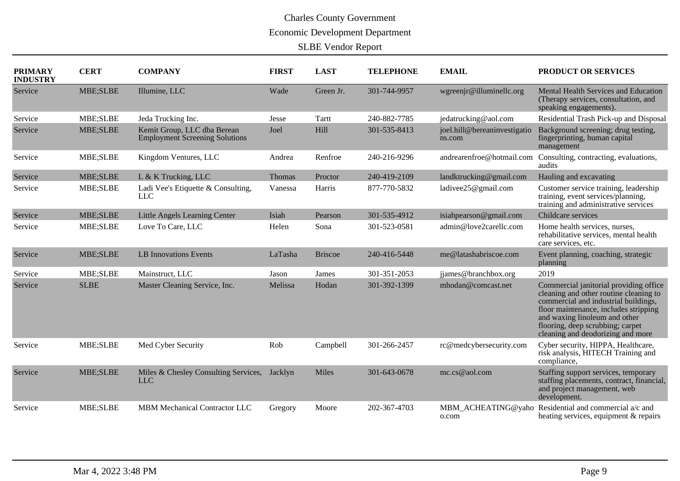| <b>PRIMARY</b><br><b>INDUSTRY</b> | <b>CERT</b>     | <b>COMPANY</b>                                                       | <b>FIRST</b> | <b>LAST</b>    | <b>TELEPHONE</b> | <b>EMAIL</b>                           | PRODUCT OR SERVICES                                                                                                                                                                                                                                                         |
|-----------------------------------|-----------------|----------------------------------------------------------------------|--------------|----------------|------------------|----------------------------------------|-----------------------------------------------------------------------------------------------------------------------------------------------------------------------------------------------------------------------------------------------------------------------------|
| Service                           | MBE;SLBE        | Illumine, LLC                                                        | Wade         | Green Jr.      | 301-744-9957     | wgreenjr@illuminellc.org               | Mental Health Services and Education<br>(Therapy services, consultation, and<br>speaking engagements).                                                                                                                                                                      |
| Service                           | MBE;SLBE        | Jeda Trucking Inc.                                                   | Jesse        | <b>Tartt</b>   | 240-882-7785     | jedatrucking@aol.com                   | Residential Trash Pick-up and Disposal                                                                                                                                                                                                                                      |
| Service                           | MBE;SLBE        | Kemit Group, LLC dba Berean<br><b>Employment Screening Solutions</b> | Joel         | Hill           | 301-535-8413     | joel.hill@bereaninvestigatio<br>ns.com | Background screening; drug testing,<br>fingerprinting, human capital<br>management                                                                                                                                                                                          |
| Service                           | MBE;SLBE        | Kingdom Ventures, LLC                                                | Andrea       | Renfroe        | 240-216-9296     | andrearenfroe@hotmail.com              | Consulting, contracting, evaluations,<br>audits                                                                                                                                                                                                                             |
| Service                           | MBE;SLBE        | L & K Trucking, LLC                                                  | Thomas       | Proctor        | 240-419-2109     | landktrucking@gmail.com                | Hauling and excavating                                                                                                                                                                                                                                                      |
| Service                           | MBE;SLBE        | Ladi Vee's Etiquette & Consulting,<br><b>LLC</b>                     | Vanessa      | Harris         | 877-770-5832     | ladivee25@gmail.com                    | Customer service training, leadership<br>training, event services/planning,<br>training and administrative services                                                                                                                                                         |
| Service                           | <b>MBE;SLBE</b> | Little Angels Learning Center                                        | Isiah        | Pearson        | 301-535-4912     | isiahpearson@gmail.com                 | Childcare services                                                                                                                                                                                                                                                          |
| Service                           | MBE;SLBE        | Love To Care, LLC                                                    | Helen        | Sona           | 301-523-0581     | admin@love2carellc.com                 | Home health services, nurses,<br>rehabilitative services, mental health<br>care services, etc.                                                                                                                                                                              |
| Service                           | MBE;SLBE        | <b>LB</b> Innovations Events                                         | LaTasha      | <b>Briscoe</b> | 240-416-5448     | me@latashabriscoe.com                  | Event planning, coaching, strategic<br>planning                                                                                                                                                                                                                             |
| Service                           | MBE;SLBE        | Mainstruct, LLC                                                      | Jason        | James          | 301-351-2053     | jjames@branchbox.org                   | 2019                                                                                                                                                                                                                                                                        |
| Service                           | <b>SLBE</b>     | Master Cleaning Service, Inc.                                        | Melissa      | Hodan          | 301-392-1399     | mhodan@comcast.net                     | Commercial janitorial providing office<br>cleaning and other routine cleaning to<br>commercial and industrial buildings,<br>floor maintenance, includes stripping<br>and waxing linoleum and other<br>flooring, deep scrubbing; carpet<br>cleaning and deodorizing and more |
| Service                           | MBE;SLBE        | Med Cyber Security                                                   | Rob          | Campbell       | 301-266-2457     | rc@medcybersecurity.com                | Cyber security, HIPPA, Healthcare,<br>risk analysis, HITECH Training and<br>compliance,                                                                                                                                                                                     |
| Service                           | MBE;SLBE        | Miles & Chesley Consulting Services,<br><b>LLC</b>                   | Jacklyn      | <b>Miles</b>   | 301-643-0678     | mc.cs@aol.com                          | Staffing support services, temporary<br>staffing placements, contract, financial,<br>and project management, web<br>development.                                                                                                                                            |
| Service                           | MBE;SLBE        | <b>MBM Mechanical Contractor LLC</b>                                 | Gregory      | Moore          | 202-367-4703     | MBM_ACHEATING@yaho<br>o.com            | Residential and commercial a/c and<br>heating services, equipment & repairs                                                                                                                                                                                                 |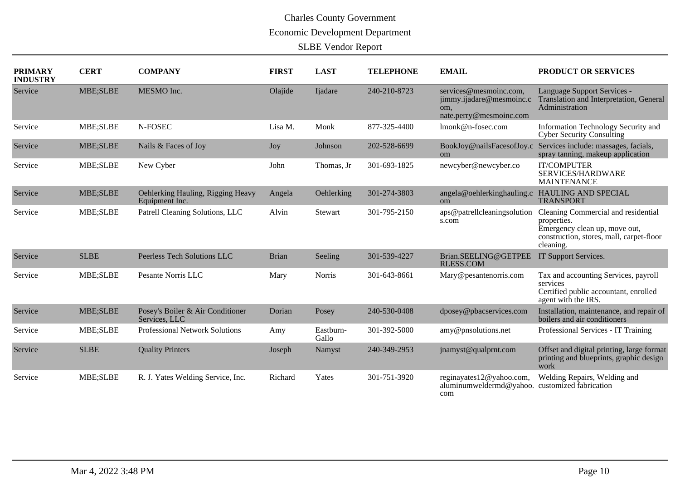| <b>PRIMARY</b><br><b>INDUSTRY</b> | <b>CERT</b> | <b>COMPANY</b>                                      | <b>FIRST</b> | <b>LAST</b>        | <b>TELEPHONE</b> | <b>EMAIL</b>                                                                         | PRODUCT OR SERVICES                                                                                                                          |
|-----------------------------------|-------------|-----------------------------------------------------|--------------|--------------------|------------------|--------------------------------------------------------------------------------------|----------------------------------------------------------------------------------------------------------------------------------------------|
| Service                           | MBE;SLBE    | MESMO Inc.                                          | Olajide      | Ijadare            | 240-210-8723     | services@mesmoinc.com.<br>jimmy.ijadare@mesmoinc.c<br>om,<br>nate.perry@mesmoinc.com | Language Support Services -<br>Translation and Interpretation, General<br>Administration                                                     |
| Service                           | MBE;SLBE    | N-FOSEC                                             | Lisa M.      | Monk               | 877-325-4400     | lmonk@n-fosec.com                                                                    | Information Technology Security and<br><b>Cyber Security Consulting</b>                                                                      |
| Service                           | MBE;SLBE    | Nails & Faces of Joy                                | Joy          | Johnson            | 202-528-6699     | BookJoy@nailsFacesofJoy.c<br><sub>om</sub>                                           | Services include: massages, facials,<br>spray tanning, makeup application                                                                    |
| Service                           | MBE;SLBE    | New Cyber                                           | John         | Thomas, Jr         | 301-693-1825     | newcyber@newcyber.co                                                                 | <b>IT/COMPUTER</b><br>SERVICES/HARDWARE<br><b>MAINTENANCE</b>                                                                                |
| Service                           | MBE;SLBE    | Oehlerking Hauling, Rigging Heavy<br>Equipment Inc. | Angela       | Oehlerking         | 301-274-3803     | angela@oehlerkinghauling.c HAULING AND SPECIAL<br><sub>om</sub>                      | <b>TRANSPORT</b>                                                                                                                             |
| Service                           | MBE;SLBE    | Patrell Cleaning Solutions, LLC                     | Alvin        | Stewart            | 301-795-2150     | aps@patrellcleaningsolution<br>s.com                                                 | Cleaning Commercial and residential<br>properties.<br>Emergency clean up, move out,<br>construction, stores, mall, carpet-floor<br>cleaning. |
| Service                           | <b>SLBE</b> | Peerless Tech Solutions LLC                         | <b>Brian</b> | Seeling            | 301-539-4227     | Brian.SEELING@GETPEE<br><b>RLESS.COM</b>                                             | IT Support Services.                                                                                                                         |
| Service                           | MBE;SLBE    | Pesante Norris LLC                                  | Mary         | <b>Norris</b>      | 301-643-8661     | Mary@pesantenorris.com                                                               | Tax and accounting Services, payroll<br>services<br>Certified public accountant, enrolled<br>agent with the IRS.                             |
| Service                           | MBE;SLBE    | Posey's Boiler & Air Conditioner<br>Services, LLC   | Dorian       | Posey              | 240-530-0408     | dposey@pbacservices.com                                                              | Installation, maintenance, and repair of<br>boilers and air conditioners                                                                     |
| Service                           | MBE;SLBE    | <b>Professional Network Solutions</b>               | Amy          | Eastburn-<br>Gallo | 301-392-5000     | amy@pnsolutions.net                                                                  | Professional Services - IT Training                                                                                                          |
| Service                           | <b>SLBE</b> | <b>Quality Printers</b>                             | Joseph       | Namyst             | 240-349-2953     | jnamyst@qualprnt.com                                                                 | Offset and digital printing, large format<br>printing and blueprints, graphic design<br>work                                                 |
| Service                           | MBE;SLBE    | R. J. Yates Welding Service, Inc.                   | Richard      | Yates              | 301-751-3920     | reginayates12@yahoo.com,<br>aluminumweldermd@yahoo.<br>com                           | Welding Repairs, Welding and<br>customized fabrication                                                                                       |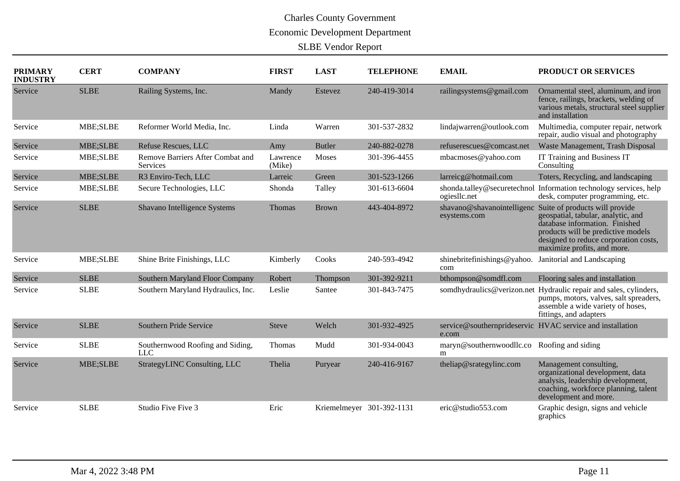| <b>PRIMARY</b><br><b>INDUSTRY</b> | <b>CERT</b> | <b>COMPANY</b>                                      | <b>FIRST</b>       | <b>LAST</b>               | <b>TELEPHONE</b> | <b>EMAIL</b>                                | PRODUCT OR SERVICES                                                                                                                                                                                                  |
|-----------------------------------|-------------|-----------------------------------------------------|--------------------|---------------------------|------------------|---------------------------------------------|----------------------------------------------------------------------------------------------------------------------------------------------------------------------------------------------------------------------|
| Service                           | <b>SLBE</b> | Railing Systems, Inc.                               | Mandy              | Estevez                   | 240-419-3014     | railingsystems@gmail.com                    | Ornamental steel, aluminum, and iron<br>fence, railings, brackets, welding of<br>various metals, structural steel supplier<br>and installation                                                                       |
| Service                           | MBE;SLBE    | Reformer World Media, Inc.                          | Linda              | Warren                    | 301-537-2832     | lindajwarren@outlook.com                    | Multimedia, computer repair, network<br>repair, audio visual and photography                                                                                                                                         |
| Service                           | MBE;SLBE    | <b>Refuse Rescues, LLC</b>                          | Amy                | <b>Butler</b>             | 240-882-0278     | refuserescues@comcast.net                   | Waste Management, Trash Disposal                                                                                                                                                                                     |
| Service                           | MBE;SLBE    | Remove Barriers After Combat and<br><b>Services</b> | Lawrence<br>(Mike) | <b>Moses</b>              | 301-396-4455     | mbacmoses@yahoo.com                         | IT Training and Business IT<br>Consulting                                                                                                                                                                            |
| Service                           | MBE;SLBE    | R3 Enviro-Tech, LLC                                 | Larreic            | Green                     | 301-523-1266     | larreicg@hotmail.com                        | Toters, Recycling, and landscaping                                                                                                                                                                                   |
| Service                           | MBE;SLBE    | Secure Technologies, LLC                            | Shonda             | Talley                    | 301-613-6604     | shonda.talley@securetechnol<br>ogieslic.net | Information technology services, help<br>desk, computer programming, etc.                                                                                                                                            |
| Service                           | <b>SLBE</b> | Shavano Intelligence Systems                        | Thomas             | <b>Brown</b>              | 443-404-8972     | shavano@shavanointelligenc<br>esystems.com  | Suite of products will provide<br>geospatial, tabular, analytic, and<br>database information. Finished<br>products will be predictive models<br>designed to reduce corporation costs,<br>maximize profits, and more. |
| Service                           | MBE;SLBE    | Shine Brite Finishings, LLC                         | Kimberly           | Cooks                     | 240-593-4942     | shinebritefinishings@yahoo.<br>com          | Janitorial and Landscaping                                                                                                                                                                                           |
| Service                           | <b>SLBE</b> | Southern Maryland Floor Company                     | Robert             | Thompson                  | 301-392-9211     | bthompson@somdfl.com                        | Flooring sales and installation                                                                                                                                                                                      |
| Service                           | <b>SLBE</b> | Southern Maryland Hydraulics, Inc.                  | Leslie             | Santee                    | 301-843-7475     | somdhydraulics@verizon.net                  | Hydraulic repair and sales, cylinders,<br>pumps, motors, valves, salt spreaders,<br>assemble a wide variety of hoses,<br>fittings, and adapters                                                                      |
| Service                           | <b>SLBE</b> | Southern Pride Service                              | <b>Steve</b>       | Welch                     | 301-932-4925     | e.com                                       | service@southernprideservic_HVAC service and installation                                                                                                                                                            |
| Service                           | <b>SLBE</b> | Southernwood Roofing and Siding,<br><b>LLC</b>      | Thomas             | Mudd                      | 301-934-0043     | maryn@southernwoodllc.co<br>m               | Roofing and siding                                                                                                                                                                                                   |
| Service                           | MBE;SLBE    | StrategyLINC Consulting, LLC                        | Thelia             | Puryear                   | 240-416-9167     | theliap@srategylinc.com                     | Management consulting,<br>organizational development, data<br>analysis, leadership development,<br>coaching, workforce planning, talent<br>development and more.                                                     |
| Service                           | <b>SLBE</b> | Studio Five Five 3                                  | Eric               | Kriemelmeyer 301-392-1131 |                  | eric@studio553.com                          | Graphic design, signs and vehicle<br>graphics                                                                                                                                                                        |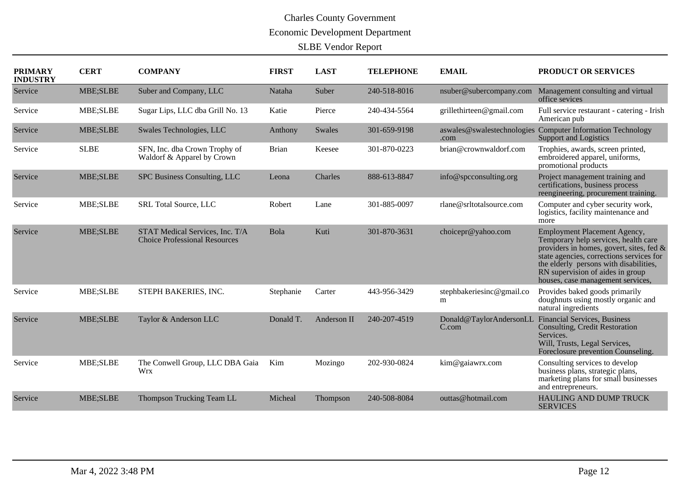| <b>PRIMARY</b><br><b>INDUSTRY</b> | <b>CERT</b> | <b>COMPANY</b>                                                          | <b>FIRST</b> | <b>LAST</b> | <b>TELEPHONE</b> | <b>EMAIL</b>                       | PRODUCT OR SERVICES                                                                                                                                                                                                                                                                    |
|-----------------------------------|-------------|-------------------------------------------------------------------------|--------------|-------------|------------------|------------------------------------|----------------------------------------------------------------------------------------------------------------------------------------------------------------------------------------------------------------------------------------------------------------------------------------|
| Service                           | MBE;SLBE    | Suber and Company, LLC                                                  | Nataha       | Suber       | 240-518-8016     | nsuber@subercompany.com            | Management consulting and virtual<br>office sevices                                                                                                                                                                                                                                    |
| Service                           | MBE;SLBE    | Sugar Lips, LLC dba Grill No. 13                                        | Katie        | Pierce      | 240-434-5564     | grillethirteen@gmail.com           | Full service restaurant - catering - Irish<br>American pub                                                                                                                                                                                                                             |
| Service                           | MBE;SLBE    | Swales Technologies, LLC                                                | Anthony      | Swales      | 301-659-9198     | aswales@swalestechnologies<br>.com | <b>Computer Information Technology</b><br><b>Support and Logistics</b>                                                                                                                                                                                                                 |
| Service                           | <b>SLBE</b> | SFN, Inc. dba Crown Trophy of<br>Waldorf & Apparel by Crown             | <b>Brian</b> | Keesee      | 301-870-0223     | brian@crownwaldorf.com             | Trophies, awards, screen printed,<br>embroidered apparel, uniforms,<br>promotional products                                                                                                                                                                                            |
| Service                           | MBE;SLBE    | SPC Business Consulting, LLC                                            | Leona        | Charles     | 888-613-8847     | info@spcconsulting.org             | Project management training and<br>certifications, business process<br>reengineering, procurement training.                                                                                                                                                                            |
| Service                           | MBE;SLBE    | SRL Total Source, LLC                                                   | Robert       | Lane        | 301-885-0097     | rlane@srltotalsource.com           | Computer and cyber security work,<br>logistics, facility maintenance and<br>more                                                                                                                                                                                                       |
| Service                           | MBE;SLBE    | STAT Medical Services, Inc. T/A<br><b>Choice Professional Resources</b> | Bola         | Kuti        | 301-870-3631     | choicepr@yahoo.com                 | <b>Employment Placement Agency,</b><br>Temporary help services, health care<br>providers in homes, govert, sites, fed &<br>state agencies, corrections services for<br>the elderly persons with disabilities,<br>RN supervision of aides in group<br>houses, case management services, |
| Service                           | MBE;SLBE    | STEPH BAKERIES, INC.                                                    | Stephanie    | Carter      | 443-956-3429     | stephbakeriesinc@gmail.co<br>m     | Provides baked goods primarily<br>doughnuts using mostly organic and<br>natural ingredients                                                                                                                                                                                            |
| Service                           | MBE;SLBE    | Taylor & Anderson LLC                                                   | Donald T.    | Anderson II | 240-207-4519     | Donald@TaylorAndersonLL<br>C.com   | <b>Financial Services, Business</b><br>Consulting, Credit Restoration<br>Services.<br>Will, Trusts, Legal Services,<br>Foreclosure prevention Counseling.                                                                                                                              |
| Service                           | MBE;SLBE    | The Conwell Group, LLC DBA Gaia<br><b>Wrx</b>                           | Kim          | Mozingo     | 202-930-0824     | kim@gaiawrx.com                    | Consulting services to develop<br>business plans, strategic plans,<br>marketing plans for small businesses<br>and entrepreneurs.                                                                                                                                                       |
| Service                           | MBE;SLBE    | Thompson Trucking Team LL                                               | Micheal      | Thompson    | 240-508-8084     | outtas@hotmail.com                 | HAULING AND DUMP TRUCK<br><b>SERVICES</b>                                                                                                                                                                                                                                              |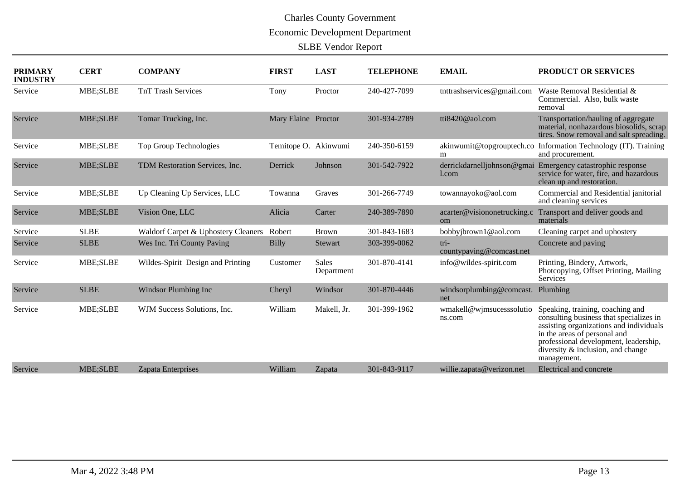| <b>PRIMARY</b><br><b>INDUSTRY</b> | <b>CERT</b>     | <b>COMPANY</b>                      | <b>FIRST</b>         | <b>LAST</b>                | <b>TELEPHONE</b> | <b>EMAIL</b>                        | PRODUCT OR SERVICES                                                                                                                                                                                                                                 |
|-----------------------------------|-----------------|-------------------------------------|----------------------|----------------------------|------------------|-------------------------------------|-----------------------------------------------------------------------------------------------------------------------------------------------------------------------------------------------------------------------------------------------------|
| Service                           | MBE;SLBE        | <b>TnT Trash Services</b>           | Tony                 | Proctor                    | 240-427-7099     | tnttrashservices@gmail.com          | Waste Removal Residential &<br>Commercial. Also, bulk waste<br>removal                                                                                                                                                                              |
| Service                           | <b>MBE;SLBE</b> | Tomar Trucking, Inc.                | Mary Elaine Proctor  |                            | 301-934-2789     | tti8420@aol.com                     | Transportation/hauling of aggregate<br>material, nonhazardous biosolids, scrap<br>tires. Snow removal and salt spreading.                                                                                                                           |
| Service                           | MBE;SLBE        | Top Group Technologies              | Temitope O. Akinwumi |                            | 240-350-6159     | akinwumit@topgrouptech.co<br>m      | Information Technology (IT). Training<br>and procurement.                                                                                                                                                                                           |
| Service                           | MBE;SLBE        | TDM Restoration Services, Inc.      | Derrick              | Johnson                    | 301-542-7922     | derrickdarnelljohnson@gmai<br>1.com | Emergency catastrophic response<br>service for water, fire, and hazardous<br>clean up and restoration.                                                                                                                                              |
| Service                           | MBE;SLBE        | Up Cleaning Up Services, LLC        | Towanna              | Graves                     | 301-266-7749     | towannayoko@aol.com                 | Commercial and Residential janitorial<br>and cleaning services                                                                                                                                                                                      |
| Service                           | MBE;SLBE        | Vision One, LLC                     | Alicia               | Carter                     | 240-389-7890     | acarter@visiononetrucking.c<br>om   | Transport and deliver goods and<br>materials                                                                                                                                                                                                        |
| Service                           | <b>SLBE</b>     | Waldorf Carpet & Uphostery Cleaners | Robert               | <b>Brown</b>               | 301-843-1683     | bobbyjbrown1@aol.com                | Cleaning carpet and uphostery                                                                                                                                                                                                                       |
| Service                           | <b>SLBE</b>     | Wes Inc. Tri County Paving          | <b>Billy</b>         | Stewart                    | 303-399-0062     | tri-<br>countypaving@comcast.net    | Concrete and paving                                                                                                                                                                                                                                 |
| Service                           | MBE;SLBE        | Wildes-Spirit Design and Printing   | Customer             | <b>Sales</b><br>Department | 301-870-4141     | info@wildes-spirit.com              | Printing, Bindery, Artwork,<br>Photcopying, Offset Printing, Mailing<br><b>Services</b>                                                                                                                                                             |
| Service                           | <b>SLBE</b>     | <b>Windsor Plumbing Inc</b>         | Cheryl               | Windsor                    | 301-870-4446     | windsorplumbing@comcast.<br>net     | Plumbing                                                                                                                                                                                                                                            |
| Service                           | MBE;SLBE        | WJM Success Solutions, Inc.         | William              | Makell, Jr.                | 301-399-1962     | wmakell@wjmsucesssolutio<br>ns.com  | Speaking, training, coaching and<br>consulting business that specializes in<br>assisting organizations and individuals<br>in the areas of personal and<br>professional development, leadership,<br>diversity & inclusion, and change<br>management. |
| Service                           | <b>MBE;SLBE</b> | Zapata Enterprises                  | William              | Zapata                     | 301-843-9117     | willie.zapata@verizon.net           | Electrical and concrete                                                                                                                                                                                                                             |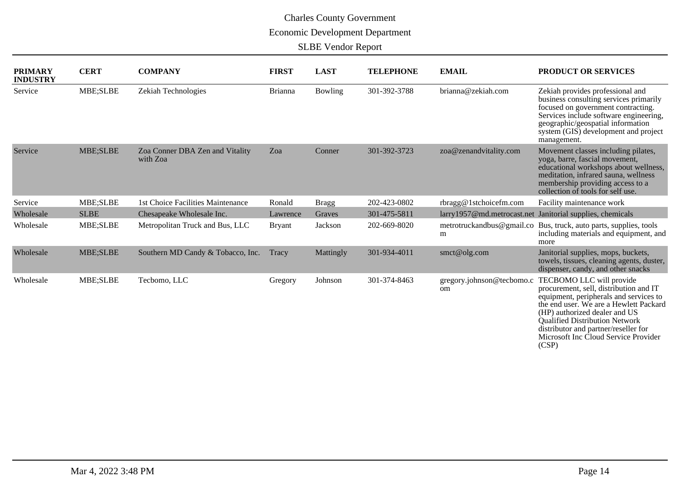| <b>PRIMARY</b><br><b>INDUSTRY</b> | <b>CERT</b> | <b>COMPANY</b>                              | <b>FIRST</b>   | <b>LAST</b>    | <b>TELEPHONE</b> | <b>EMAIL</b>                    | PRODUCT OR SERVICES                                                                                                                                                                                                                                                                                                       |
|-----------------------------------|-------------|---------------------------------------------|----------------|----------------|------------------|---------------------------------|---------------------------------------------------------------------------------------------------------------------------------------------------------------------------------------------------------------------------------------------------------------------------------------------------------------------------|
| Service                           | MBE;SLBE    | Zekiah Technologies                         | <b>Brianna</b> | <b>Bowling</b> | 301-392-3788     | brianna@zekiah.com              | Zekiah provides professional and<br>business consulting services primarily<br>focused on government contracting.<br>Services include software engineering,<br>geographic/geospatial information<br>system (GIS) development and project<br>management.                                                                    |
| Service                           | MBE;SLBE    | Zoa Conner DBA Zen and Vitality<br>with Zoa | Zoa            | Conner         | 301-392-3723     | zoa@zenandvitality.com          | Movement classes including pilates,<br>yoga, barre, fascial movement,<br>educational workshops about wellness,<br>meditation, infrared sauna, wellness<br>membership providing access to a<br>collection of tools for self use.                                                                                           |
| Service                           | MBE;SLBE    | 1st Choice Facilities Maintenance           | Ronald         | <b>Bragg</b>   | 202-423-0802     | rbragg@1stchoicefm.com          | Facility maintenance work                                                                                                                                                                                                                                                                                                 |
| Wholesale                         | <b>SLBE</b> | Chesapeake Wholesale Inc.                   | Lawrence       | Graves         | 301-475-5811     |                                 | larry1957@md.metrocast.net Janitorial supplies, chemicals                                                                                                                                                                                                                                                                 |
| Wholesale                         | MBE;SLBE    | Metropolitan Truck and Bus, LLC             | <b>Bryant</b>  | Jackson        | 202-669-8020     | m                               | metrotruckandbus@gmail.co Bus, truck, auto parts, supplies, tools<br>including materials and equipment, and<br>more                                                                                                                                                                                                       |
| Wholesale                         | MBE;SLBE    | Southern MD Candy & Tobacco, Inc.           | Tracy          | Mattingly      | 301-934-4011     | smct@olg.com                    | Janitorial supplies, mops, buckets,<br>towels, tissues, cleaning agents, duster,<br>dispenser, candy, and other snacks                                                                                                                                                                                                    |
| Wholesale                         | MBE;SLBE    | Tecbomo, LLC                                | Gregory        | Johnson        | 301-374-8463     | gregory.johnson@tecbomo.c<br>om | TECBOMO LLC will provide<br>procurement, sell, distribution and IT<br>equipment, peripherals and services to<br>the end user. We are a Hewlett Packard<br>(HP) authorized dealer and US<br><b>Qualified Distribution Network</b><br>distributor and partner/reseller for<br>Microsoft Inc Cloud Service Provider<br>(CSP) |